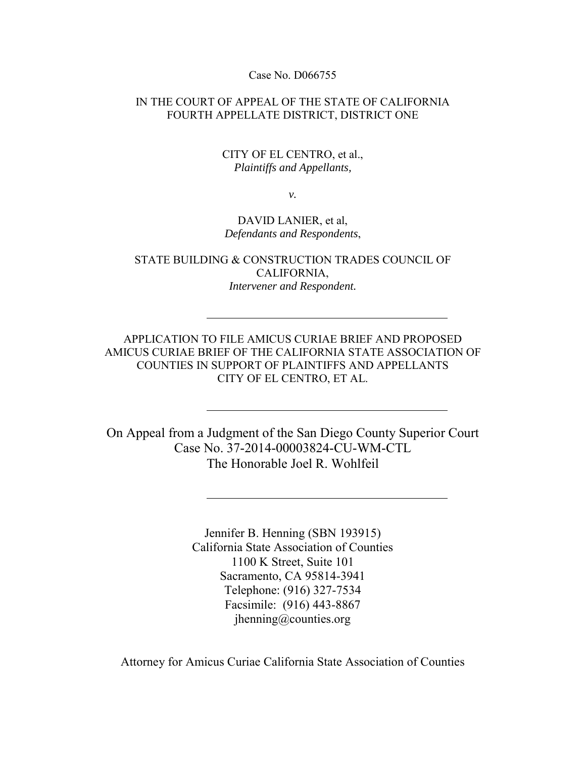Case No. D066755

IN THE COURT OF APPEAL OF THE STATE OF CALIFORNIA FOURTH APPELLATE DISTRICT, DISTRICT ONE

#### CITY OF EL CENTRO, et al., *Plaintiffs and Appellants,*

*v.*

#### DAVID LANIER, et al, *Defendants and Respondents*,

STATE BUILDING & CONSTRUCTION TRADES COUNCIL OF CALIFORNIA, *Intervener and Respondent.* 

APPLICATION TO FILE AMICUS CURIAE BRIEF AND PROPOSED AMICUS CURIAE BRIEF OF THE CALIFORNIA STATE ASSOCIATION OF COUNTIES IN SUPPORT OF PLAINTIFFS AND APPELLANTS CITY OF EL CENTRO, ET AL.

On Appeal from a Judgment of the San Diego County Superior Court Case No. 37-2014-00003824-CU-WM-CTL The Honorable Joel R. Wohlfeil

> Jennifer B. Henning (SBN 193915) California State Association of Counties 1100 K Street, Suite 101 Sacramento, CA 95814-3941 Telephone: (916) 327-7534 Facsimile: (916) 443-8867 jhenning@counties.org

Attorney for Amicus Curiae California State Association of Counties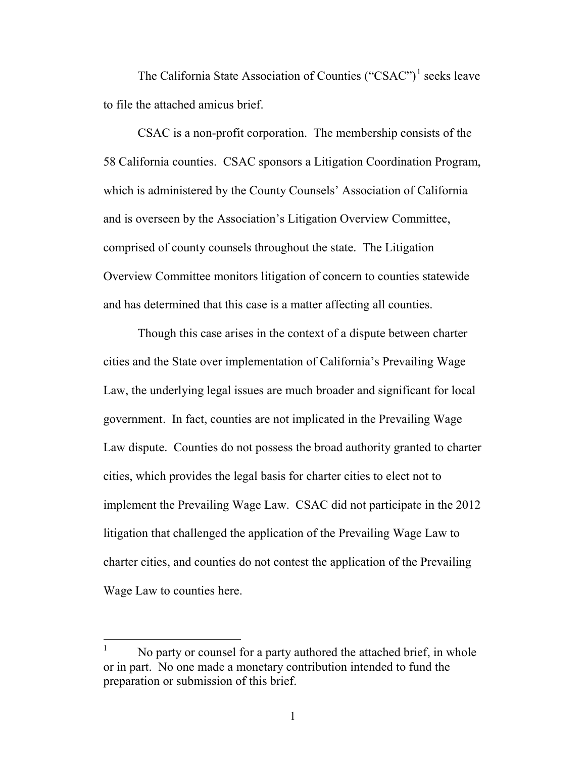The California State Association of Counties  $("CSAC")^1$  $("CSAC")^1$  seeks leave to file the attached amicus brief.

CSAC is a non-profit corporation. The membership consists of the 58 California counties. CSAC sponsors a Litigation Coordination Program, which is administered by the County Counsels' Association of California and is overseen by the Association's Litigation Overview Committee, comprised of county counsels throughout the state. The Litigation Overview Committee monitors litigation of concern to counties statewide and has determined that this case is a matter affecting all counties.

 Though this case arises in the context of a dispute between charter cities and the State over implementation of California's Prevailing Wage Law, the underlying legal issues are much broader and significant for local government. In fact, counties are not implicated in the Prevailing Wage Law dispute. Counties do not possess the broad authority granted to charter cities, which provides the legal basis for charter cities to elect not to implement the Prevailing Wage Law. CSAC did not participate in the 2012 litigation that challenged the application of the Prevailing Wage Law to charter cities, and counties do not contest the application of the Prevailing Wage Law to counties here.

<span id="page-1-0"></span> $\frac{1}{1}$  No party or counsel for a party authored the attached brief, in whole or in part. No one made a monetary contribution intended to fund the preparation or submission of this brief.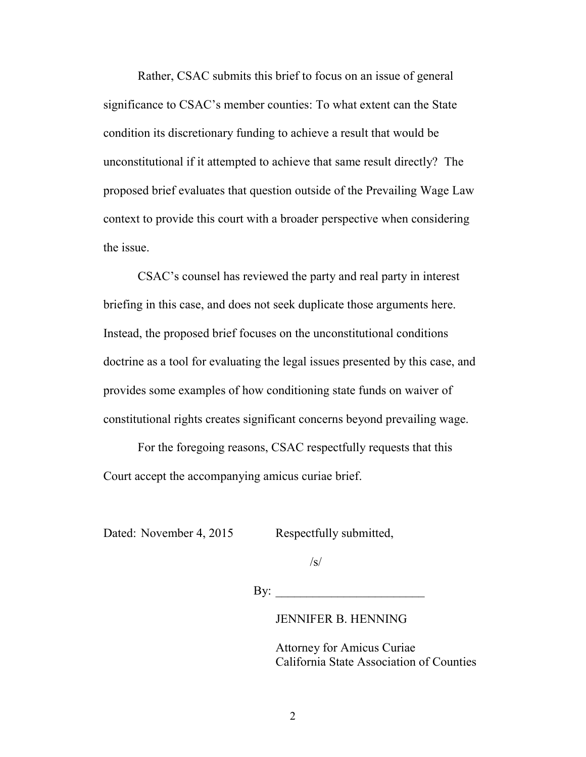Rather, CSAC submits this brief to focus on an issue of general significance to CSAC's member counties: To what extent can the State condition its discretionary funding to achieve a result that would be unconstitutional if it attempted to achieve that same result directly? The proposed brief evaluates that question outside of the Prevailing Wage Law context to provide this court with a broader perspective when considering the issue.

 CSAC's counsel has reviewed the party and real party in interest briefing in this case, and does not seek duplicate those arguments here. Instead, the proposed brief focuses on the unconstitutional conditions doctrine as a tool for evaluating the legal issues presented by this case, and provides some examples of how conditioning state funds on waiver of constitutional rights creates significant concerns beyond prevailing wage.

For the foregoing reasons, CSAC respectfully requests that this Court accept the accompanying amicus curiae brief.

Dated: November 4, 2015 Respectfully submitted,

 $\sqrt{s}$ /

 $\mathbf{By:}$ 

JENNIFER B. HENNING

 Attorney for Amicus Curiae California State Association of Counties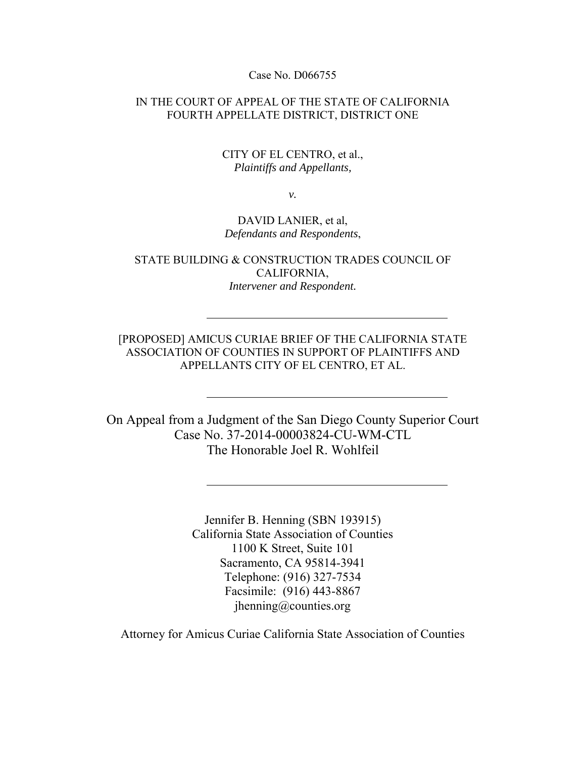Case No. D066755

IN THE COURT OF APPEAL OF THE STATE OF CALIFORNIA FOURTH APPELLATE DISTRICT, DISTRICT ONE

#### CITY OF EL CENTRO, et al., *Plaintiffs and Appellants,*

*v.* 

#### DAVID LANIER, et al, *Defendants and Respondents*,

STATE BUILDING & CONSTRUCTION TRADES COUNCIL OF CALIFORNIA, *Intervener and Respondent.* 

[PROPOSED] AMICUS CURIAE BRIEF OF THE CALIFORNIA STATE ASSOCIATION OF COUNTIES IN SUPPORT OF PLAINTIFFS AND APPELLANTS CITY OF EL CENTRO, ET AL.

On Appeal from a Judgment of the San Diego County Superior Court Case No. 37-2014-00003824-CU-WM-CTL The Honorable Joel R. Wohlfeil

> Jennifer B. Henning (SBN 193915) California State Association of Counties 1100 K Street, Suite 101 Sacramento, CA 95814-3941 Telephone: (916) 327-7534 Facsimile: (916) 443-8867 jhenning@counties.org

Attorney for Amicus Curiae California State Association of Counties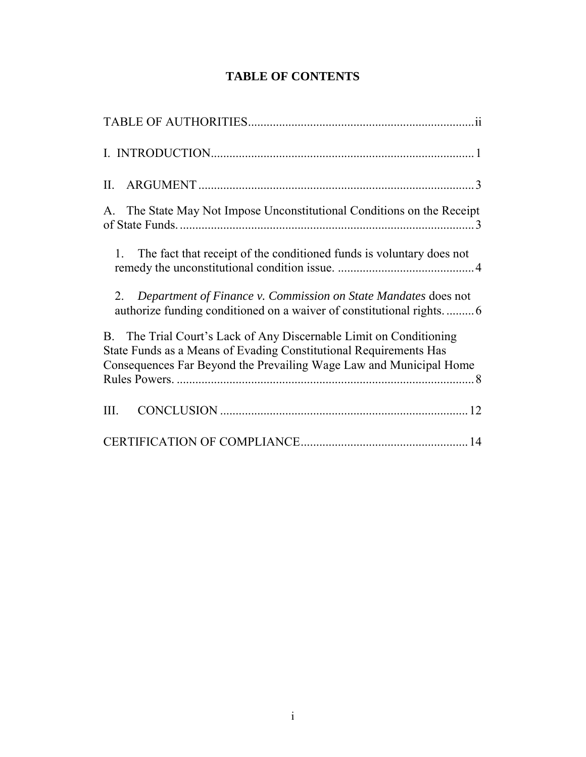# **TABLE OF CONTENTS**

| П.                                                                                                                                                                                                                       |
|--------------------------------------------------------------------------------------------------------------------------------------------------------------------------------------------------------------------------|
| A. The State May Not Impose Unconstitutional Conditions on the Receipt                                                                                                                                                   |
| The fact that receipt of the conditioned funds is voluntary does not<br>$\mathbf{1}$                                                                                                                                     |
| Department of Finance v. Commission on State Mandates does not<br>2.                                                                                                                                                     |
| The Trial Court's Lack of Any Discernable Limit on Conditioning<br><b>B</b> .<br>State Funds as a Means of Evading Constitutional Requirements Has<br>Consequences Far Beyond the Prevailing Wage Law and Municipal Home |
| III.                                                                                                                                                                                                                     |
|                                                                                                                                                                                                                          |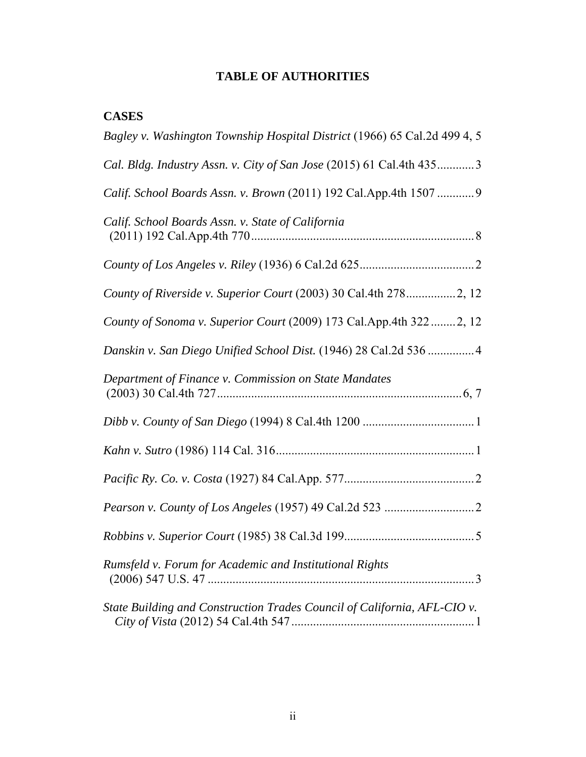# **TABLE OF AUTHORITIES**

## **CASES**

| Bagley v. Washington Township Hospital District (1966) 65 Cal.2d 499 4, 5 |
|---------------------------------------------------------------------------|
| Cal. Bldg. Industry Assn. v. City of San Jose (2015) 61 Cal.4th 4353      |
| Calif. School Boards Assn. v. Brown (2011) 192 Cal.App.4th 1507  9        |
| Calif. School Boards Assn. v. State of California                         |
|                                                                           |
| County of Riverside v. Superior Court (2003) 30 Cal.4th 2782, 12          |
| County of Sonoma v. Superior Court (2009) 173 Cal.App.4th 322 2, 12       |
| Danskin v. San Diego Unified School Dist. (1946) 28 Cal.2d 536  4         |
| Department of Finance v. Commission on State Mandates                     |
|                                                                           |
|                                                                           |
|                                                                           |
|                                                                           |
|                                                                           |
| Rumsfeld v. Forum for Academic and Institutional Rights                   |
| State Building and Construction Trades Council of California, AFL-CIO v.  |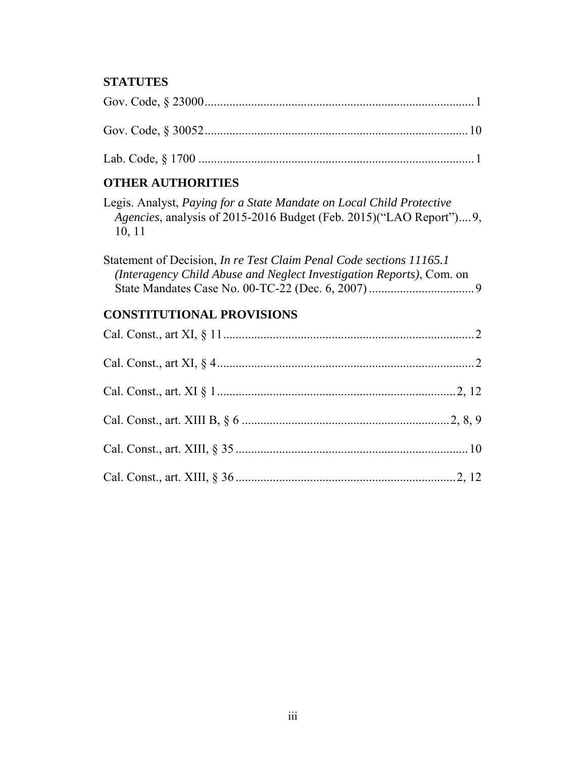## **STATUTES**

## **OTHER AUTHORITIES**

| Legis. Analyst, Paying for a State Mandate on Local Child Protective       |
|----------------------------------------------------------------------------|
| <i>Agencies</i> , analysis of 2015-2016 Budget (Feb. 2015)("LAO Report")9, |
| 10, 11                                                                     |

| Statement of Decision, In re Test Claim Penal Code sections 11165.1  |  |
|----------------------------------------------------------------------|--|
| (Interagency Child Abuse and Neglect Investigation Reports), Com. on |  |
|                                                                      |  |

# **CONSTITUTIONAL PROVISIONS**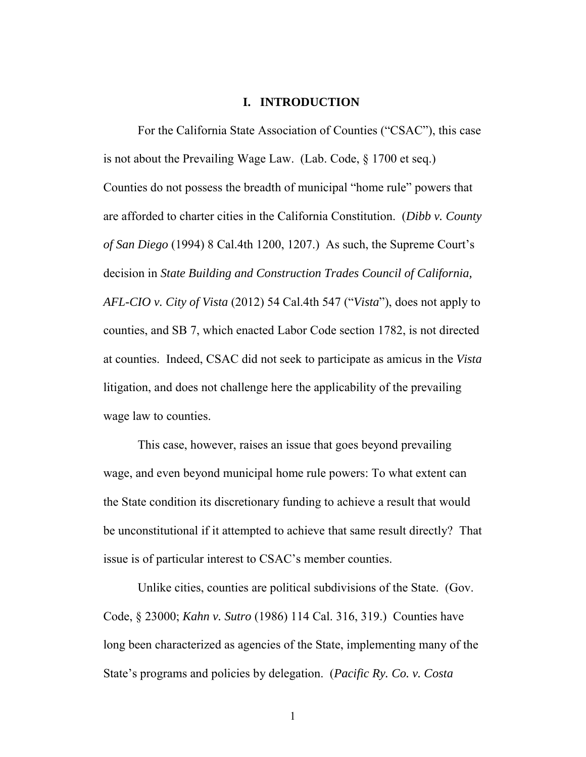#### **I. INTRODUCTION**

For the California State Association of Counties ("CSAC"), this case is not about the Prevailing Wage Law. (Lab. Code, § 1700 et seq.) Counties do not possess the breadth of municipal "home rule" powers that are afforded to charter cities in the California Constitution. (*Dibb v. County of San Diego* (1994) 8 Cal.4th 1200, 1207.) As such, the Supreme Court's decision in *State Building and Construction Trades Council of California, AFL-CIO v. City of Vista* (2012) 54 Cal.4th 547 ("*Vista*"), does not apply to counties, and SB 7, which enacted Labor Code section 1782, is not directed at counties. Indeed, CSAC did not seek to participate as amicus in the *Vista*  litigation, and does not challenge here the applicability of the prevailing wage law to counties.

This case, however, raises an issue that goes beyond prevailing wage, and even beyond municipal home rule powers: To what extent can the State condition its discretionary funding to achieve a result that would be unconstitutional if it attempted to achieve that same result directly? That issue is of particular interest to CSAC's member counties.

Unlike cities, counties are political subdivisions of the State. (Gov. Code, § 23000; *Kahn v. Sutro* (1986) 114 Cal. 316, 319.) Counties have long been characterized as agencies of the State, implementing many of the State's programs and policies by delegation. (*Pacific Ry. Co. v. Costa*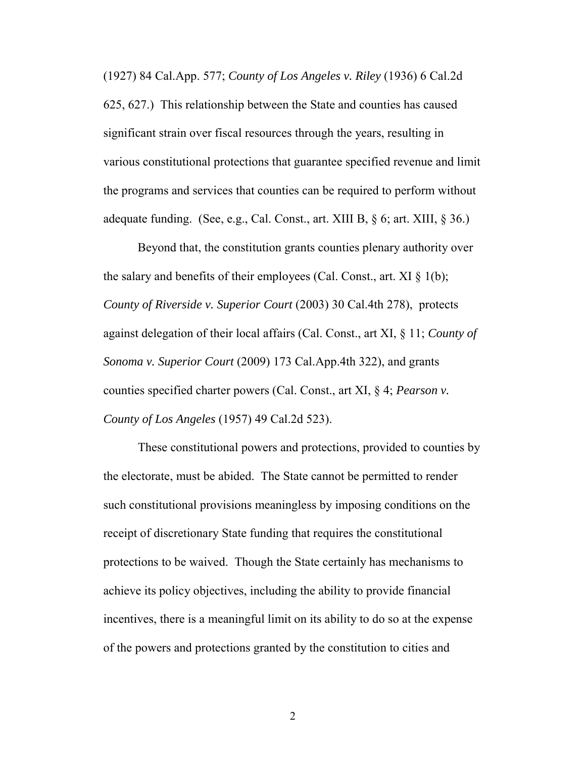(1927) 84 Cal.App. 577; *County of Los Angeles v. Riley* (1936) 6 Cal.2d

625, 627.) This relationship between the State and counties has caused significant strain over fiscal resources through the years, resulting in various constitutional protections that guarantee specified revenue and limit the programs and services that counties can be required to perform without adequate funding. (See, e.g., Cal. Const., art. XIII B,  $\S$  6; art. XIII,  $\S$  36.)

Beyond that, the constitution grants counties plenary authority over the salary and benefits of their employees (Cal. Const., art.  $XI \S 1(b)$ ; *County of Riverside v. Superior Court* (2003) 30 Cal.4th 278), protects against delegation of their local affairs (Cal. Const., art XI, § 11; *County of Sonoma v. Superior Court* (2009) 173 Cal.App.4th 322), and grants counties specified charter powers (Cal. Const., art XI, § 4; *Pearson v. County of Los Angeles* (1957) 49 Cal.2d 523).

These constitutional powers and protections, provided to counties by the electorate, must be abided. The State cannot be permitted to render such constitutional provisions meaningless by imposing conditions on the receipt of discretionary State funding that requires the constitutional protections to be waived. Though the State certainly has mechanisms to achieve its policy objectives, including the ability to provide financial incentives, there is a meaningful limit on its ability to do so at the expense of the powers and protections granted by the constitution to cities and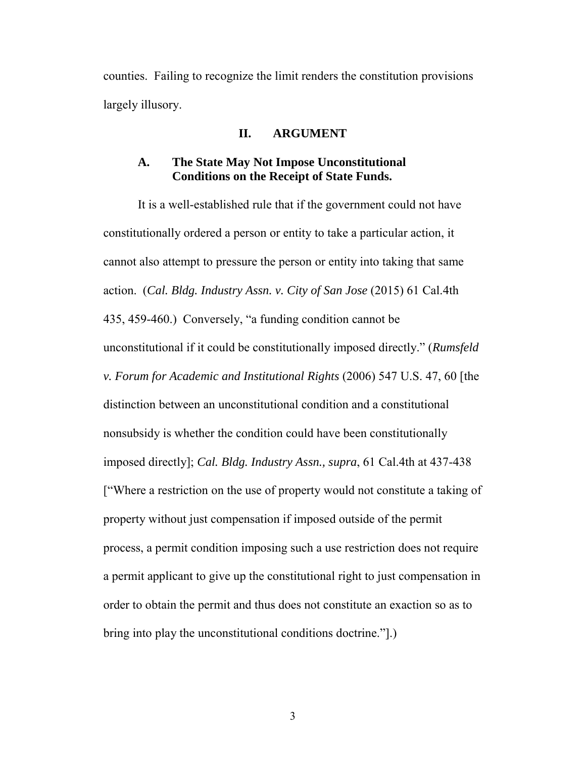counties. Failing to recognize the limit renders the constitution provisions largely illusory.

#### **II. ARGUMENT**

#### **A. The State May Not Impose Unconstitutional Conditions on the Receipt of State Funds.**

 It is a well-established rule that if the government could not have constitutionally ordered a person or entity to take a particular action, it cannot also attempt to pressure the person or entity into taking that same action. (*Cal. Bldg. Industry Assn. v. City of San Jose* (2015) 61 Cal.4th 435, 459-460.) Conversely, "a funding condition cannot be unconstitutional if it could be constitutionally imposed directly." (*Rumsfeld v. Forum for Academic and Institutional Rights* (2006) 547 U.S. 47, 60 [the distinction between an unconstitutional condition and a constitutional nonsubsidy is whether the condition could have been constitutionally imposed directly]; *Cal. Bldg. Industry Assn., supra*, 61 Cal.4th at 437-438 ["Where a restriction on the use of property would not constitute a taking of property without just compensation if imposed outside of the permit process, a permit condition imposing such a use restriction does not require a permit applicant to give up the constitutional right to just compensation in order to obtain the permit and thus does not constitute an exaction so as to bring into play the unconstitutional conditions doctrine."].)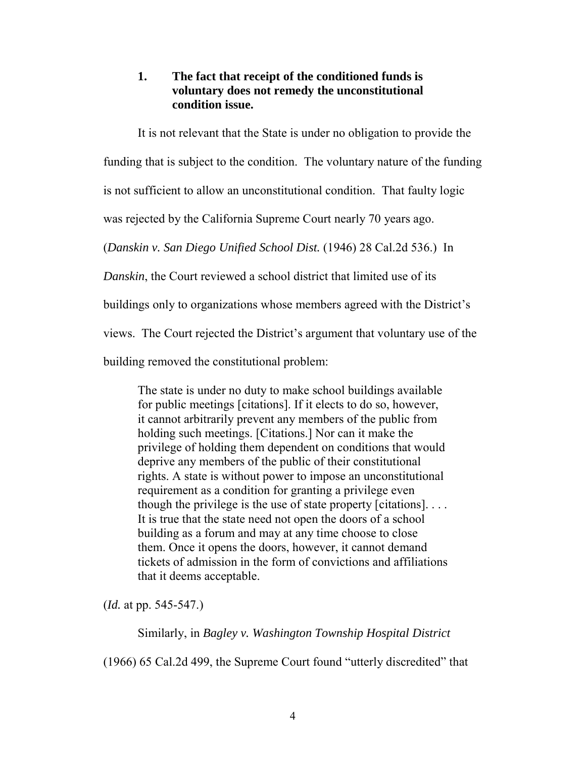## **1. The fact that receipt of the conditioned funds is voluntary does not remedy the unconstitutional condition issue.**

It is not relevant that the State is under no obligation to provide the

funding that is subject to the condition. The voluntary nature of the funding

is not sufficient to allow an unconstitutional condition. That faulty logic

was rejected by the California Supreme Court nearly 70 years ago.

(*Danskin v. San Diego Unified School Dist.* (1946) 28 Cal.2d 536.) In

*Danskin*, the Court reviewed a school district that limited use of its

buildings only to organizations whose members agreed with the District's

views. The Court rejected the District's argument that voluntary use of the

building removed the constitutional problem:

The state is under no duty to make school buildings available for public meetings [citations]. If it elects to do so, however, it cannot arbitrarily prevent any members of the public from holding such meetings. [Citations.] Nor can it make the privilege of holding them dependent on conditions that would deprive any members of the public of their constitutional rights. A state is without power to impose an unconstitutional requirement as a condition for granting a privilege even though the privilege is the use of state property  $[ciations]$ ... It is true that the state need not open the doors of a school building as a forum and may at any time choose to close them. Once it opens the doors, however, it cannot demand tickets of admission in the form of convictions and affiliations that it deems acceptable.

(*Id.* at pp. 545-547.)

Similarly, in *Bagley v. Washington Township Hospital District*

(1966) 65 Cal.2d 499, the Supreme Court found "utterly discredited" that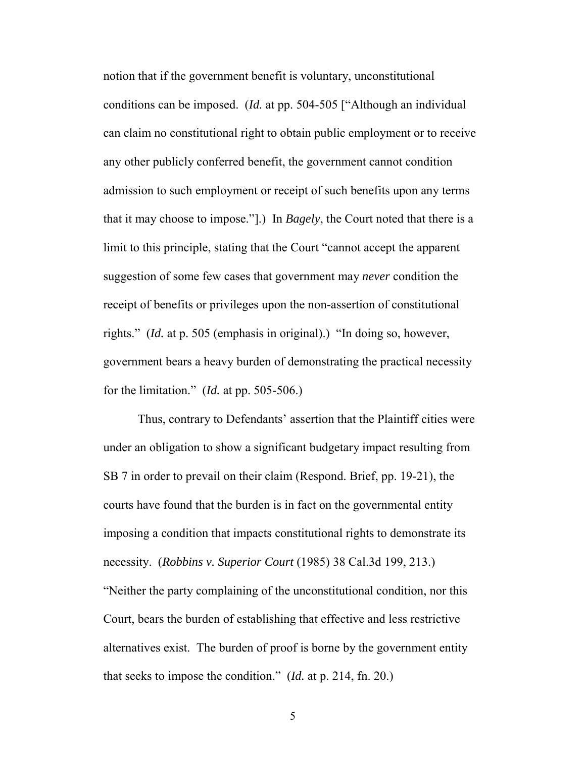notion that if the government benefit is voluntary, unconstitutional conditions can be imposed. (*Id.* at pp. 504-505 ["Although an individual can claim no constitutional right to obtain public employment or to receive any other publicly conferred benefit, the government cannot condition admission to such employment or receipt of such benefits upon any terms that it may choose to impose."].) In *Bagely*, the Court noted that there is a limit to this principle, stating that the Court "cannot accept the apparent suggestion of some few cases that government may *never* condition the receipt of benefits or privileges upon the non-assertion of constitutional rights." (*Id.* at p. 505 (emphasis in original).) "In doing so, however, government bears a heavy burden of demonstrating the practical necessity for the limitation." (*Id.* at pp. 505-506.)

 Thus, contrary to Defendants' assertion that the Plaintiff cities were under an obligation to show a significant budgetary impact resulting from SB 7 in order to prevail on their claim (Respond. Brief, pp. 19-21), the courts have found that the burden is in fact on the governmental entity imposing a condition that impacts constitutional rights to demonstrate its necessity. (*Robbins v. Superior Court* (1985) 38 Cal.3d 199, 213.) "Neither the party complaining of the unconstitutional condition, nor this Court, bears the burden of establishing that effective and less restrictive alternatives exist. The burden of proof is borne by the government entity that seeks to impose the condition." (*Id.* at p. 214, fn. 20.)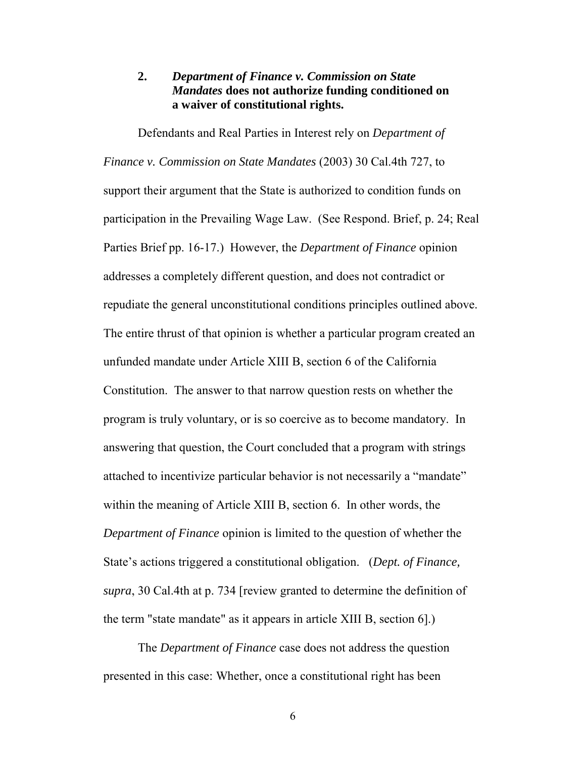## **2.** *Department of Finance v. Commission on State Mandates* **does not authorize funding conditioned on a waiver of constitutional rights.**

 Defendants and Real Parties in Interest rely on *Department of Finance v. Commission on State Mandates* (2003) 30 Cal.4th 727, to support their argument that the State is authorized to condition funds on participation in the Prevailing Wage Law. (See Respond. Brief, p. 24; Real Parties Brief pp. 16-17.) However, the *Department of Finance* opinion addresses a completely different question, and does not contradict or repudiate the general unconstitutional conditions principles outlined above. The entire thrust of that opinion is whether a particular program created an unfunded mandate under Article XIII B, section 6 of the California Constitution. The answer to that narrow question rests on whether the program is truly voluntary, or is so coercive as to become mandatory. In answering that question, the Court concluded that a program with strings attached to incentivize particular behavior is not necessarily a "mandate" within the meaning of Article XIII B, section 6. In other words, the *Department of Finance* opinion is limited to the question of whether the State's actions triggered a constitutional obligation. (*Dept. of Finance, supra*, 30 Cal.4th at p. 734 [review granted to determine the definition of the term "state mandate" as it appears in article XIII B, section 6].)

 The *Department of Finance* case does not address the question presented in this case: Whether, once a constitutional right has been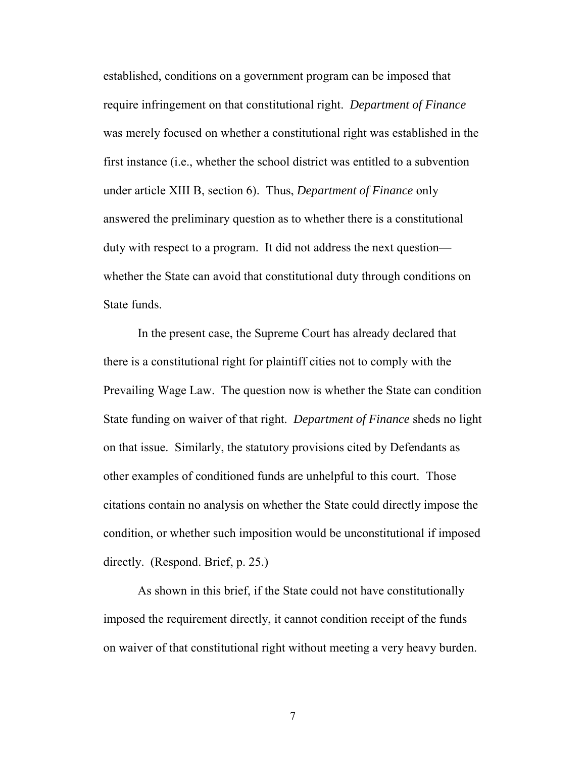established, conditions on a government program can be imposed that require infringement on that constitutional right. *Department of Finance* was merely focused on whether a constitutional right was established in the first instance (i.e., whether the school district was entitled to a subvention under article XIII B, section 6). Thus, *Department of Finance* only answered the preliminary question as to whether there is a constitutional duty with respect to a program. It did not address the next question whether the State can avoid that constitutional duty through conditions on State funds.

 In the present case, the Supreme Court has already declared that there is a constitutional right for plaintiff cities not to comply with the Prevailing Wage Law. The question now is whether the State can condition State funding on waiver of that right. *Department of Finance* sheds no light on that issue. Similarly, the statutory provisions cited by Defendants as other examples of conditioned funds are unhelpful to this court. Those citations contain no analysis on whether the State could directly impose the condition, or whether such imposition would be unconstitutional if imposed directly. (Respond. Brief, p. 25.)

 As shown in this brief, if the State could not have constitutionally imposed the requirement directly, it cannot condition receipt of the funds on waiver of that constitutional right without meeting a very heavy burden.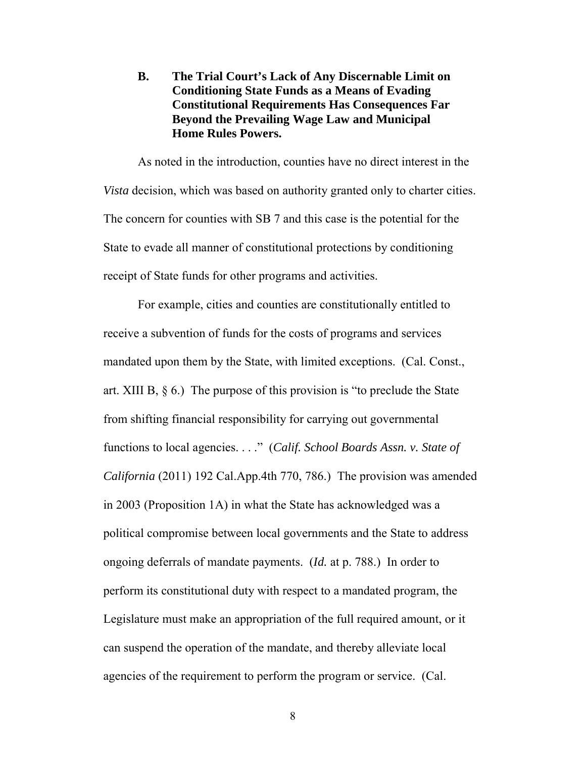**B. The Trial Court's Lack of Any Discernable Limit on Conditioning State Funds as a Means of Evading Constitutional Requirements Has Consequences Far Beyond the Prevailing Wage Law and Municipal Home Rules Powers.** 

 As noted in the introduction, counties have no direct interest in the *Vista* decision, which was based on authority granted only to charter cities. The concern for counties with SB 7 and this case is the potential for the State to evade all manner of constitutional protections by conditioning receipt of State funds for other programs and activities.

 For example, cities and counties are constitutionally entitled to receive a subvention of funds for the costs of programs and services mandated upon them by the State, with limited exceptions. (Cal. Const., art. XIII B, § 6.) The purpose of this provision is "to preclude the State from shifting financial responsibility for carrying out governmental functions to local agencies. . . ." (*Calif. School Boards Assn. v. State of California* (2011) 192 Cal.App.4th 770, 786.) The provision was amended in 2003 (Proposition 1A) in what the State has acknowledged was a political compromise between local governments and the State to address ongoing deferrals of mandate payments. (*Id.* at p. 788.) In order to perform its constitutional duty with respect to a mandated program, the Legislature must make an appropriation of the full required amount, or it can suspend the operation of the mandate, and thereby alleviate local agencies of the requirement to perform the program or service. (Cal.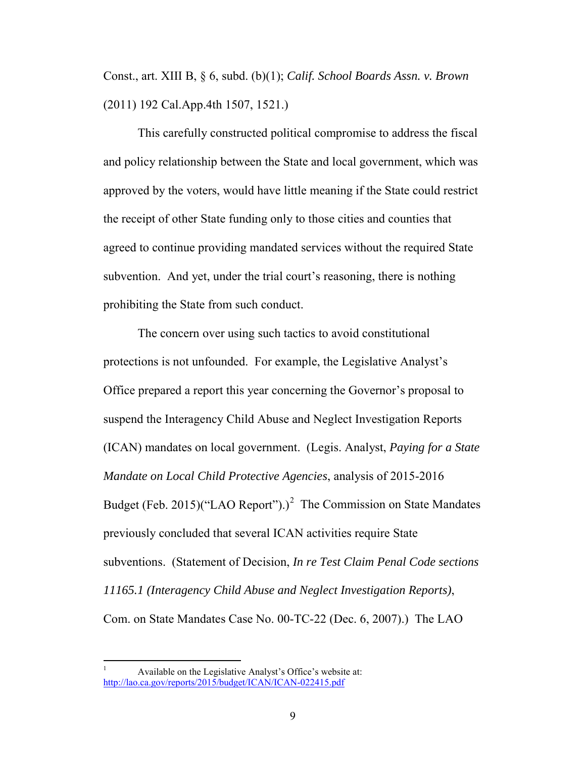Const., art. XIII B, § 6, subd. (b)(1); *Calif. School Boards Assn. v. Brown*  (2011) 192 Cal.App.4th 1507, 1521.)

 This carefully constructed political compromise to address the fiscal and policy relationship between the State and local government, which was approved by the voters, would have little meaning if the State could restrict the receipt of other State funding only to those cities and counties that agreed to continue providing mandated services without the required State subvention. And yet, under the trial court's reasoning, there is nothing prohibiting the State from such conduct.

 The concern over using such tactics to avoid constitutional protections is not unfounded. For example, the Legislative Analyst's Office prepared a report this year concerning the Governor's proposal to suspend the Interagency Child Abuse and Neglect Investigation Reports (ICAN) mandates on local government. (Legis. Analyst, *Paying for a State Mandate on Local Child Protective Agencies*, analysis of 2015-2016 Budget (Feb. [2](#page-15-0)015)("LAO Report").)<sup>2</sup> The Commission on State Mandates previously concluded that several ICAN activities require State subventions. (Statement of Decision, *In re Test Claim Penal Code sections 11165.1 (Interagency Child Abuse and Neglect Investigation Reports)*, Com. on State Mandates Case No. 00-TC-22 (Dec. 6, 2007).) The LAO

<span id="page-15-0"></span> $\overline{a}$ 1 Available on the Legislative Analyst's Office's website at: <http://lao.ca.gov/reports/2015/budget/ICAN/ICAN-022415.pdf>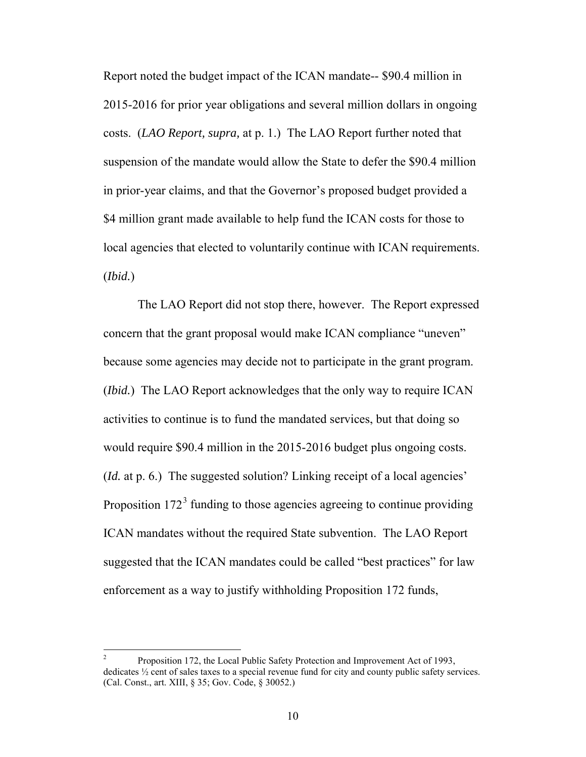Report noted the budget impact of the ICAN mandate-- \$90.4 million in 2015-2016 for prior year obligations and several million dollars in ongoing costs. (*LAO Report, supra,* at p. 1.) The LAO Report further noted that suspension of the mandate would allow the State to defer the \$90.4 million in prior-year claims, and that the Governor's proposed budget provided a \$4 million grant made available to help fund the ICAN costs for those to local agencies that elected to voluntarily continue with ICAN requirements. (*Ibid.*)

 The LAO Report did not stop there, however. The Report expressed concern that the grant proposal would make ICAN compliance "uneven" because some agencies may decide not to participate in the grant program. (*Ibid.*) The LAO Report acknowledges that the only way to require ICAN activities to continue is to fund the mandated services, but that doing so would require \$90.4 million in the 2015-2016 budget plus ongoing costs. (*Id.* at p. 6.) The suggested solution? Linking receipt of a local agencies' Proposition  $172<sup>3</sup>$  $172<sup>3</sup>$  $172<sup>3</sup>$  funding to those agencies agreeing to continue providing ICAN mandates without the required State subvention. The LAO Report suggested that the ICAN mandates could be called "best practices" for law enforcement as a way to justify withholding Proposition 172 funds,

<span id="page-16-0"></span> $\frac{1}{2}$  Proposition 172, the Local Public Safety Protection and Improvement Act of 1993, dedicates ½ cent of sales taxes to a special revenue fund for city and county public safety services. (Cal. Const., art. XIII, § 35; Gov. Code, § 30052.)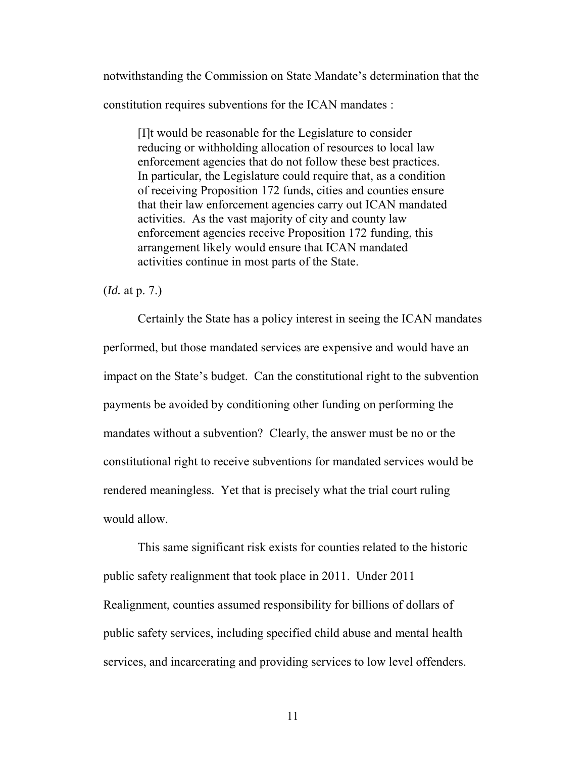notwithstanding the Commission on State Mandate's determination that the constitution requires subventions for the ICAN mandates :

[I]t would be reasonable for the Legislature to consider reducing or withholding allocation of resources to local law enforcement agencies that do not follow these best practices. In particular, the Legislature could require that, as a condition of receiving Proposition 172 funds, cities and counties ensure that their law enforcement agencies carry out ICAN mandated activities. As the vast majority of city and county law enforcement agencies receive Proposition 172 funding, this arrangement likely would ensure that ICAN mandated activities continue in most parts of the State.

(*Id.* at p. 7.)

 Certainly the State has a policy interest in seeing the ICAN mandates performed, but those mandated services are expensive and would have an impact on the State's budget. Can the constitutional right to the subvention payments be avoided by conditioning other funding on performing the mandates without a subvention? Clearly, the answer must be no or the constitutional right to receive subventions for mandated services would be rendered meaningless. Yet that is precisely what the trial court ruling would allow.

 This same significant risk exists for counties related to the historic public safety realignment that took place in 2011. Under 2011 Realignment, counties assumed responsibility for billions of dollars of public safety services, including specified child abuse and mental health services, and incarcerating and providing services to low level offenders.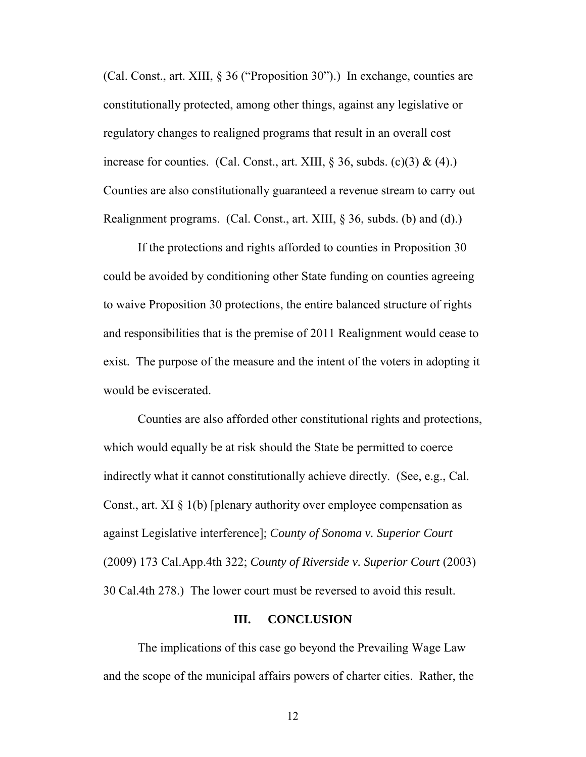(Cal. Const., art. XIII, § 36 ("Proposition 30").) In exchange, counties are constitutionally protected, among other things, against any legislative or regulatory changes to realigned programs that result in an overall cost increase for counties. (Cal. Const., art. XIII,  $\S$  36, subds. (c)(3) & (4).) Counties are also constitutionally guaranteed a revenue stream to carry out Realignment programs. (Cal. Const., art. XIII, § 36, subds. (b) and (d).)

 If the protections and rights afforded to counties in Proposition 30 could be avoided by conditioning other State funding on counties agreeing to waive Proposition 30 protections, the entire balanced structure of rights and responsibilities that is the premise of 2011 Realignment would cease to exist. The purpose of the measure and the intent of the voters in adopting it would be eviscerated.

 Counties are also afforded other constitutional rights and protections, which would equally be at risk should the State be permitted to coerce indirectly what it cannot constitutionally achieve directly. (See, e.g., Cal. Const., art. XI  $\S 1(b)$  [plenary authority over employee compensation as against Legislative interference]; *County of Sonoma v. Superior Court* (2009) 173 Cal.App.4th 322; *County of Riverside v. Superior Court* (2003) 30 Cal.4th 278.) The lower court must be reversed to avoid this result.

#### **III. CONCLUSION**

 The implications of this case go beyond the Prevailing Wage Law and the scope of the municipal affairs powers of charter cities. Rather, the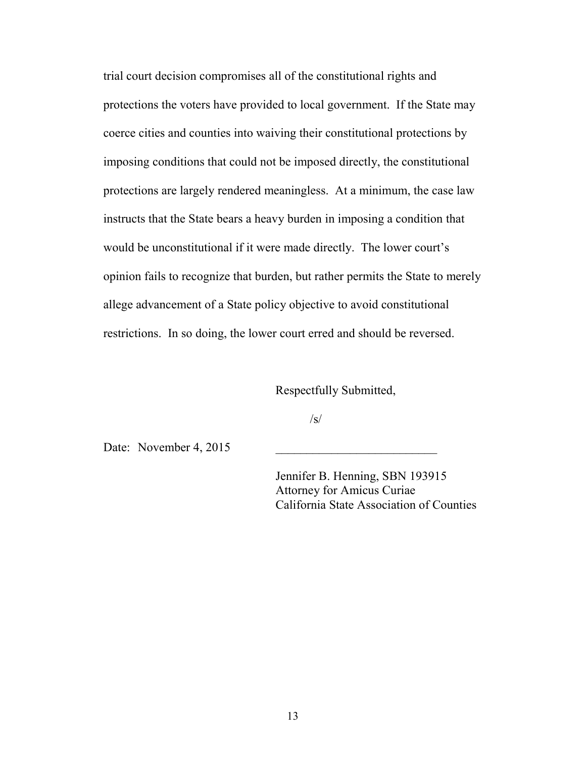trial court decision compromises all of the constitutional rights and protections the voters have provided to local government. If the State may coerce cities and counties into waiving their constitutional protections by imposing conditions that could not be imposed directly, the constitutional protections are largely rendered meaningless. At a minimum, the case law instructs that the State bears a heavy burden in imposing a condition that would be unconstitutional if it were made directly. The lower court's opinion fails to recognize that burden, but rather permits the State to merely allege advancement of a State policy objective to avoid constitutional restrictions. In so doing, the lower court erred and should be reversed.

Respectfully Submitted,

 $\sqrt{s}$ /

Date: November  $4, 2015$ 

 Jennifer B. Henning, SBN 193915 Attorney for Amicus Curiae California State Association of Counties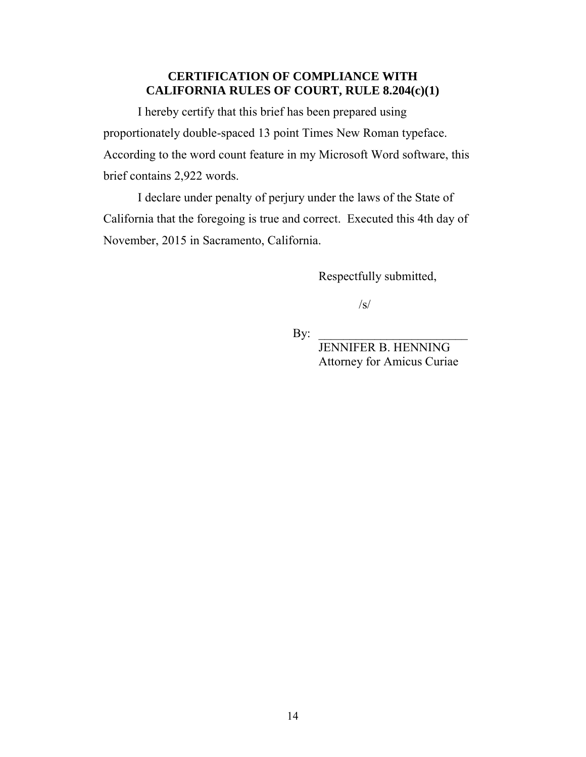## **CERTIFICATION OF COMPLIANCE WITH CALIFORNIA RULES OF COURT, RULE 8.204(c)(1)**

I hereby certify that this brief has been prepared using proportionately double-spaced 13 point Times New Roman typeface. According to the word count feature in my Microsoft Word software, this brief contains 2,922 words.

I declare under penalty of perjury under the laws of the State of California that the foregoing is true and correct. Executed this 4th day of November, 2015 in Sacramento, California.

Respectfully submitted,

 $\sqrt{s/}$ 

 $\mathbf{By:}$ 

 JENNIFER B. HENNING Attorney for Amicus Curiae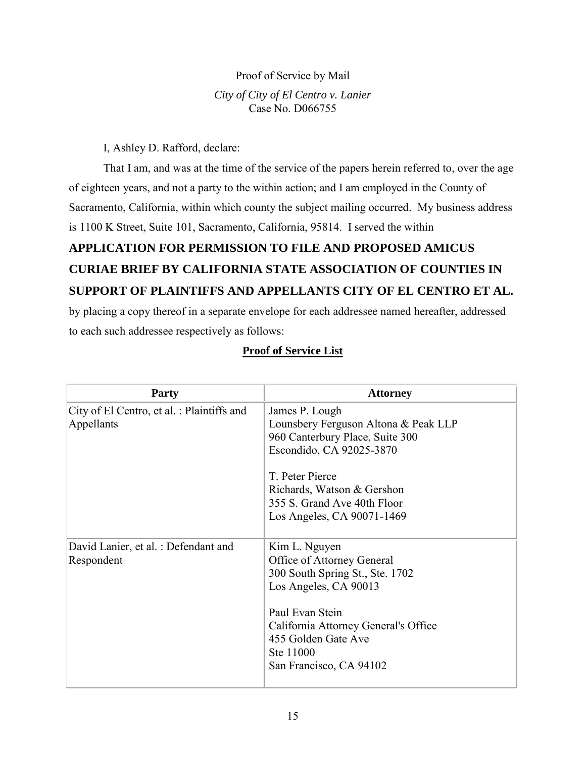#### Proof of Service by Mail

#### *City of City of El Centro v. Lanier*  Case No. D066755

I, Ashley D. Rafford, declare:

 That I am, and was at the time of the service of the papers herein referred to, over the age of eighteen years, and not a party to the within action; and I am employed in the County of Sacramento, California, within which county the subject mailing occurred. My business address is 1100 K Street, Suite 101, Sacramento, California, 95814. I served the within

# **APPLICATION FOR PERMISSION TO FILE AND PROPOSED AMICUS CURIAE BRIEF BY CALIFORNIA STATE ASSOCIATION OF COUNTIES IN SUPPORT OF PLAINTIFFS AND APPELLANTS CITY OF EL CENTRO ET AL.**

by placing a copy thereof in a separate envelope for each addressee named hereafter, addressed to each such addressee respectively as follows:

## **Proof of Service List**

| <b>Party</b>                                            | <b>Attorney</b>                                                                                                                                                                                                                     |
|---------------------------------------------------------|-------------------------------------------------------------------------------------------------------------------------------------------------------------------------------------------------------------------------------------|
| City of El Centro, et al.: Plaintiffs and<br>Appellants | James P. Lough<br>Lounsbery Ferguson Altona & Peak LLP<br>960 Canterbury Place, Suite 300<br>Escondido, CA 92025-3870<br>T. Peter Pierce<br>Richards, Watson & Gershon<br>355 S. Grand Ave 40th Floor<br>Los Angeles, CA 90071-1469 |
| David Lanier, et al. : Defendant and<br>Respondent      | Kim L. Nguyen<br>Office of Attorney General<br>300 South Spring St., Ste. 1702<br>Los Angeles, CA 90013<br>Paul Evan Stein<br>California Attorney General's Office<br>455 Golden Gate Ave<br>Ste 11000<br>San Francisco, CA 94102   |